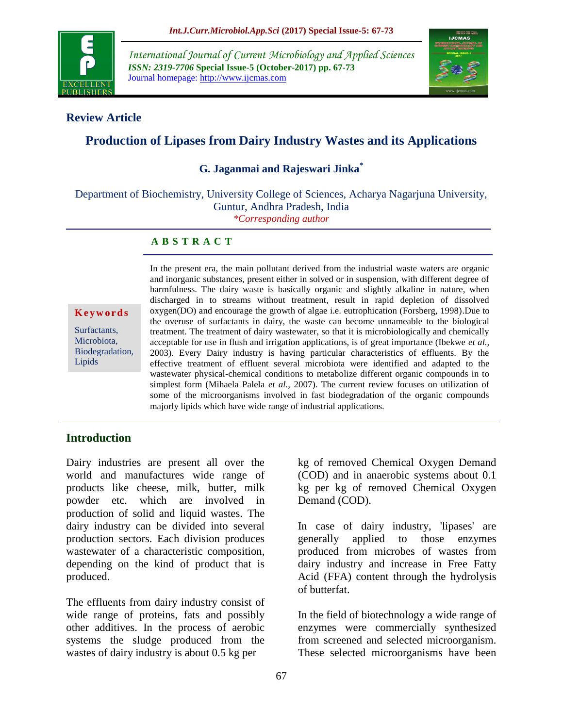

*International Journal of Current Microbiology and Applied Sciences ISSN: 2319-7706* **Special Issue-5 (October-2017) pp. 67-73** Journal homepage: http://www.ijcmas.com



### **Review Article**

# **Production of Lipases from Dairy Industry Wastes and its Applications**

### **G. Jaganmai and Rajeswari Jinka\***

Department of Biochemistry, University College of Sciences, Acharya Nagarjuna University, Guntur, Andhra Pradesh, India *\*Corresponding author*

#### **A B S T R A C T**

**K e y w o r d s**

Surfactants, Microbiota, Biodegradation, Lipids

In the present era, the main pollutant derived from the industrial waste waters are organic and inorganic substances, present either in solved or in suspension, with different degree of harmfulness. The dairy waste is basically organic and slightly alkaline in nature, when discharged in to streams without treatment, result in rapid depletion of dissolved oxygen(DO) and encourage the growth of algae i.e. eutrophication (Forsberg, 1998).Due to the overuse of surfactants in dairy, the waste can become unnameable to the biological treatment. The treatment of dairy wastewater, so that it is microbiologically and chemically acceptable for use in flush and irrigation applications, is of great importance (Ibekwe *et al.,* 2003). Every Dairy industry is having particular characteristics of effluents. By the effective treatment of effluent several microbiota were identified and adapted to the wastewater physical-chemical conditions to metabolize different organic compounds in to simplest form (Mihaela Palela *et al.,* 2007). The current review focuses on utilization of some of the microorganisms involved in fast biodegradation of the organic compounds majorly lipids which have wide range of industrial applications.

#### **Introduction**

Dairy industries are present all over the world and manufactures wide range of products like cheese, milk, butter, milk powder etc. which are involved in production of solid and liquid wastes. The dairy industry can be divided into several production sectors. Each division produces wastewater of a characteristic composition, depending on the kind of product that is produced.

The effluents from dairy industry consist of wide range of proteins, fats and possibly other additives. In the process of aerobic systems the sludge produced from the wastes of dairy industry is about 0.5 kg per

kg of removed Chemical Oxygen Demand (COD) and in anaerobic systems about 0.1 kg per kg of removed Chemical Oxygen Demand (COD).

In case of dairy industry, 'lipases' are generally applied to those enzymes produced from microbes of wastes from dairy industry and increase in Free Fatty Acid (FFA) content through the hydrolysis of butterfat.

In the field of biotechnology a wide range of enzymes were commercially synthesized from screened and selected microorganism. These selected microorganisms have been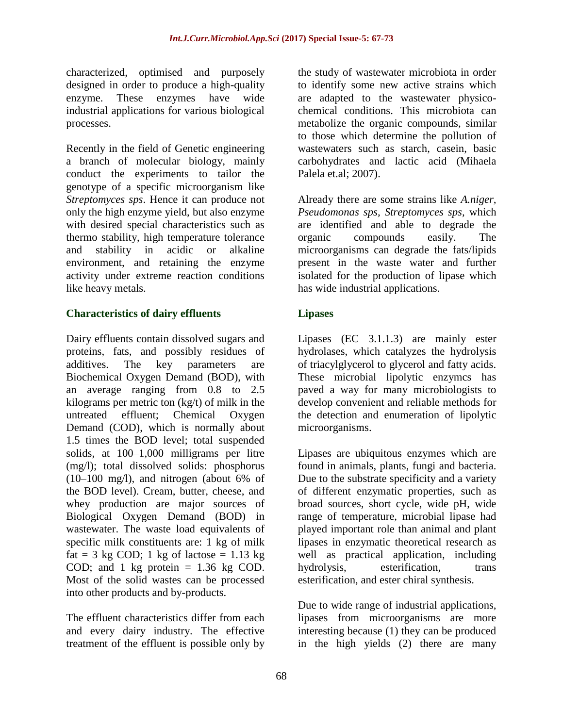characterized, optimised and purposely designed in order to produce a high-quality enzyme. These enzymes have wide industrial applications for various biological processes.

Recently in the field of Genetic engineering a branch of molecular biology, mainly conduct the experiments to tailor the genotype of a specific microorganism like *Streptomyces sps*. Hence it can produce not only the high enzyme yield, but also enzyme with desired special characteristics such as thermo stability, high temperature tolerance and stability in acidic or alkaline environment, and retaining the enzyme activity under extreme reaction conditions like heavy metals.

### **Characteristics of dairy effluents**

Dairy effluents contain dissolved sugars and proteins, fats, and possibly residues of additives. The key parameters are Biochemical Oxygen Demand (BOD), with an average ranging from 0.8 to 2.5 kilograms per metric ton (kg/t) of milk in the untreated effluent; Chemical Oxygen Demand (COD), which is normally about 1.5 times the BOD level; total suspended solids, at 100–1,000 milligrams per litre (mg/l); total dissolved solids: phosphorus (10–100 mg/l), and nitrogen (about 6% of the BOD level). Cream, butter, cheese, and whey production are major sources of Biological Oxygen Demand (BOD) in wastewater. The waste load equivalents of specific milk constituents are: 1 kg of milk fat = 3 kg COD; 1 kg of lactose =  $1.13$  kg COD; and 1 kg protein  $= 1.36$  kg COD. Most of the solid wastes can be processed into other products and by-products.

The effluent characteristics differ from each and every dairy industry. The effective treatment of the effluent is possible only by

the study of wastewater microbiota in order to identify some new active strains which are adapted to the wastewater physicochemical conditions. This microbiota can metabolize the organic compounds, similar to those which determine the pollution of wastewaters such as starch, casein, basic carbohydrates and lactic acid (Mihaela Palela et.al; 2007).

Already there are some strains like *A.niger, Pseudomonas sps, Streptomyces sps,* which are identified and able to degrade the organic compounds easily. The microorganisms can degrade the fats/lipids present in the waste water and further isolated for the production of lipase which has wide industrial applications.

### **Lipases**

Lipases (EC 3.1.1.3) are mainly ester hydrolases, which catalyzes the hydrolysis of triacylglycerol to glycerol and fatty acids. These microbial lipolytic enzymcs has paved a way for many microbiologists to develop convenient and reliable methods for the detection and enumeration of lipolytic microorganisms.

Lipases are ubiquitous enzymes which are found in animals, plants, fungi and bacteria. Due to the substrate specificity and a variety of different enzymatic properties, such as broad sources, short cycle, wide pH, wide range of temperature, microbial lipase had played important role than animal and plant lipases in enzymatic theoretical research as well as practical application, including hydrolysis, esterification, trans esterification, and ester chiral synthesis.

Due to wide range of industrial applications, lipases from microorganisms are more interesting because (1) they can be produced in the high yields (2) there are many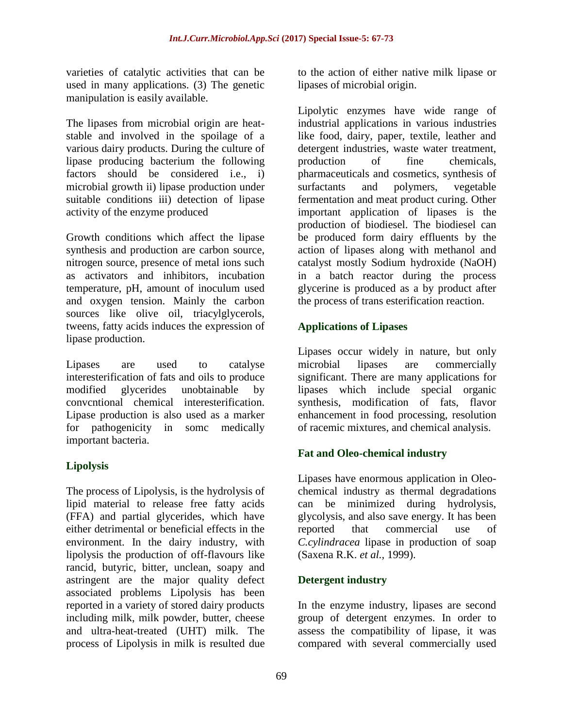varieties of catalytic activities that can be used in many applications. (3) The genetic manipulation is easily available.

The lipases from microbial origin are heatstable and involved in the spoilage of a various dairy products. During the culture of lipase producing bacterium the following factors should be considered i.e., i) microbial growth ii) lipase production under suitable conditions iii) detection of lipase activity of the enzyme produced

Growth conditions which affect the lipase synthesis and production are carbon source, nitrogen source, presence of metal ions such as activators and inhibitors, incubation temperature, pH, amount of inoculum used and oxygen tension. Mainly the carbon sources like olive oil, triacylglycerols, tweens, fatty acids induces the expression of lipase production.

Lipases are used to catalyse interesterification of fats and oils to produce modified glycerides unobtainable by convcntional chemical interesterification. Lipase production is also used as a marker for pathogenicity in somc medically important bacteria.

## **Lipolysis**

The process of Lipolysis, is the hydrolysis of lipid material to release free fatty acids (FFA) and partial glycerides, which have either detrimental or beneficial effects in the environment. In the dairy industry, with lipolysis the production of off-flavours like rancid, butyric, bitter, unclean, soapy and astringent are the major quality defect associated problems Lipolysis has been reported in a variety of stored dairy products including milk, milk powder, butter, cheese and ultra-heat-treated (UHT) milk. The process of Lipolysis in milk is resulted due

to the action of either native milk lipase or lipases of microbial origin.

Lipolytic enzymes have wide range of industrial applications in various industries like food, dairy, paper, textile, leather and detergent industries, waste water treatment, production of fine chemicals, pharmaceuticals and cosmetics, synthesis of surfactants and polymers, vegetable fermentation and meat product curing. Other important application of lipases is the production of biodiesel. The biodiesel can be produced form dairy effluents by the action of lipases along with methanol and catalyst mostly Sodium hydroxide (NaOH) in a batch reactor during the process glycerine is produced as a by product after the process of trans esterification reaction.

### **Applications of Lipases**

Lipases occur widely in nature, but only microbial lipases are commercially significant. There are many applications for lipases which include special organic synthesis, modification of fats, flavor enhancement in food processing, resolution of racemic mixtures, and chemical analysis.

### **Fat and Oleo-chemical industry**

Lipases have enormous application in Oleochemical industry as thermal degradations can be minimized during hydrolysis, glycolysis, and also save energy. It has been reported that commercial use of *C.cylindracea* lipase in production of soap (Saxena R.K. *et al.,* 1999).

#### **Detergent industry**

In the enzyme industry, lipases are second group of detergent enzymes. In order to assess the compatibility of lipase, it was compared with several commercially used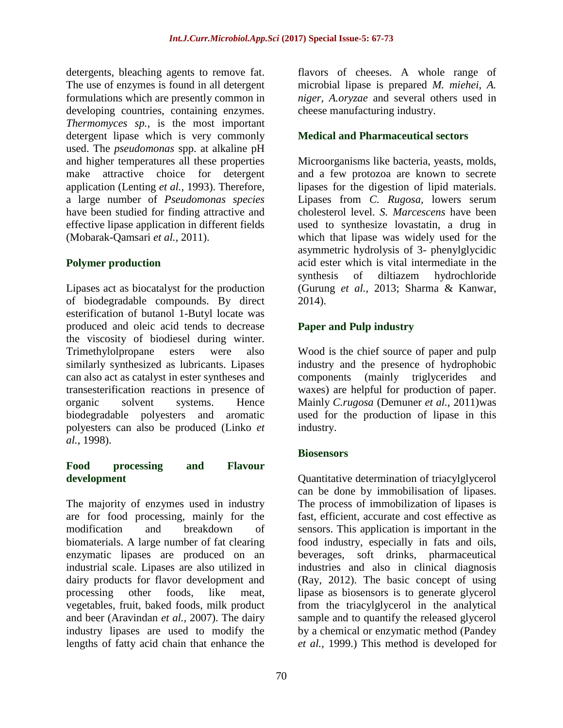detergents, bleaching agents to remove fat. The use of enzymes is found in all detergent formulations which are presently common in developing countries, containing enzymes. *Thermomyces sp.,* is the most important detergent lipase which is very commonly used. The *pseudomonas* spp. at alkaline pH and higher temperatures all these properties make attractive choice for detergent application (Lenting *et al.,* 1993). Therefore, a large number of *Pseudomonas species*  have been studied for finding attractive and effective lipase application in different fields (Mobarak-Qamsari *et al.,* 2011).

#### **Polymer production**

Lipases act as biocatalyst for the production of biodegradable compounds. By direct esterification of butanol 1-Butyl locate was produced and oleic acid tends to decrease the viscosity of biodiesel during winter. Trimethylolpropane esters were also similarly synthesized as lubricants. Lipases can also act as catalyst in ester syntheses and transesterification reactions in presence of organic solvent systems. Hence biodegradable polyesters and aromatic polyesters can also be produced (Linko *et al.,* 1998).

#### **Food processing and Flavour development**

The majority of enzymes used in industry are for food processing, mainly for the modification and breakdown of biomaterials. A large number of fat clearing enzymatic lipases are produced on an industrial scale. Lipases are also utilized in dairy products for flavor development and processing other foods, like meat, vegetables, fruit, baked foods, milk product and beer (Aravindan *et al.,* 2007). The dairy industry lipases are used to modify the lengths of fatty acid chain that enhance the

flavors of cheeses. A whole range of microbial lipase is prepared *M. miehei, A. niger, A.oryzae* and several others used in cheese manufacturing industry.

### **Medical and Pharmaceutical sectors**

Microorganisms like bacteria, yeasts, molds, and a few protozoa are known to secrete lipases for the digestion of lipid materials. Lipases from *C. Rugosa,* lowers serum cholesterol level. *S. Marcescens* have been used to synthesize lovastatin, a drug in which that lipase was widely used for the asymmetric hydrolysis of 3- phenylglycidic acid ester which is vital intermediate in the synthesis of diltiazem hydrochloride (Gurung *et al.,* 2013; Sharma & Kanwar, 2014).

### **Paper and Pulp industry**

Wood is the chief source of paper and pulp industry and the presence of hydrophobic components (mainly triglycerides and waxes) are helpful for production of paper. Mainly *C.rugosa* (Demuner *et al.,* 2011)was used for the production of lipase in this industry.

### **Biosensors**

Quantitative determination of triacylglycerol can be done by immobilisation of lipases. The process of immobilization of lipases is fast, efficient, accurate and cost effective as sensors. This application is important in the food industry, especially in fats and oils, beverages, soft drinks, pharmaceutical industries and also in clinical diagnosis (Ray, 2012). The basic concept of using lipase as biosensors is to generate glycerol from the triacylglycerol in the analytical sample and to quantify the released glycerol by a chemical or enzymatic method (Pandey *et al.,* 1999.) This method is developed for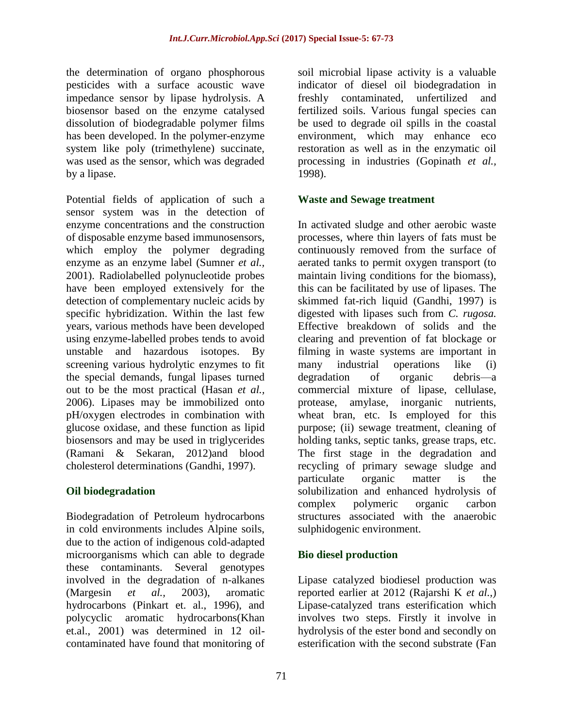the determination of organo phosphorous pesticides with a surface acoustic wave impedance sensor by lipase hydrolysis. A biosensor based on the enzyme catalysed dissolution of biodegradable polymer films has been developed. In the polymer-enzyme system like poly (trimethylene) succinate, was used as the sensor, which was degraded by a lipase.

Potential fields of application of such a sensor system was in the detection of enzyme concentrations and the construction of disposable enzyme based immunosensors, which employ the polymer degrading enzyme as an enzyme label (Sumner *et al.,* 2001). Radiolabelled polynucleotide probes have been employed extensively for the detection of complementary nucleic acids by specific hybridization. Within the last few years, various methods have been developed using enzyme-labelled probes tends to avoid unstable and hazardous isotopes. By screening various hydrolytic enzymes to fit the special demands, fungal lipases turned out to be the most practical (Hasan *et al.,* 2006). Lipases may be immobilized onto pH/oxygen electrodes in combination with glucose oxidase, and these function as lipid biosensors and may be used in triglycerides (Ramani & Sekaran, 2012)and blood cholesterol determinations (Gandhi, 1997).

#### **Oil biodegradation**

Biodegradation of Petroleum hydrocarbons in cold environments includes Alpine soils, due to the action of indigenous cold-adapted microorganisms which can able to degrade these contaminants. Several genotypes involved in the degradation of n-alkanes (Margesin *et al.,* 2003), aromatic hydrocarbons (Pinkart et. al., 1996), and polycyclic aromatic hydrocarbons(Khan et.al., 2001) was determined in 12 oilcontaminated have found that monitoring of

soil microbial lipase activity is a valuable indicator of diesel oil biodegradation in freshly contaminated, unfertilized and fertilized soils. Various fungal species can be used to degrade oil spills in the coastal environment, which may enhance eco restoration as well as in the enzymatic oil processing in industries (Gopinath *et al.,* 1998).

#### **Waste and Sewage treatment**

In activated sludge and other aerobic waste processes, where thin layers of fats must be continuously removed from the surface of aerated tanks to permit oxygen transport (to maintain living conditions for the biomass), this can be facilitated by use of lipases. The skimmed fat-rich liquid (Gandhi, 1997) is digested with lipases such from *C. rugosa.* Effective breakdown of solids and the clearing and prevention of fat blockage or filming in waste systems are important in many industrial operations like (i) degradation of organic debris—a commercial mixture of lipase, cellulase, protease, amylase, inorganic nutrients, wheat bran, etc. Is employed for this purpose; (ii) sewage treatment, cleaning of holding tanks, septic tanks, grease traps, etc. The first stage in the degradation and recycling of primary sewage sludge and particulate organic matter is the solubilization and enhanced hydrolysis of complex polymeric organic carbon structures associated with the anaerobic sulphidogenic environment.

### **Bio diesel production**

Lipase catalyzed biodiesel production was reported earlier at 2012 (Rajarshi K *et al.,*) Lipase-catalyzed trans esterification which involves two steps. Firstly it involve in hydrolysis of the ester bond and secondly on esterification with the second substrate (Fan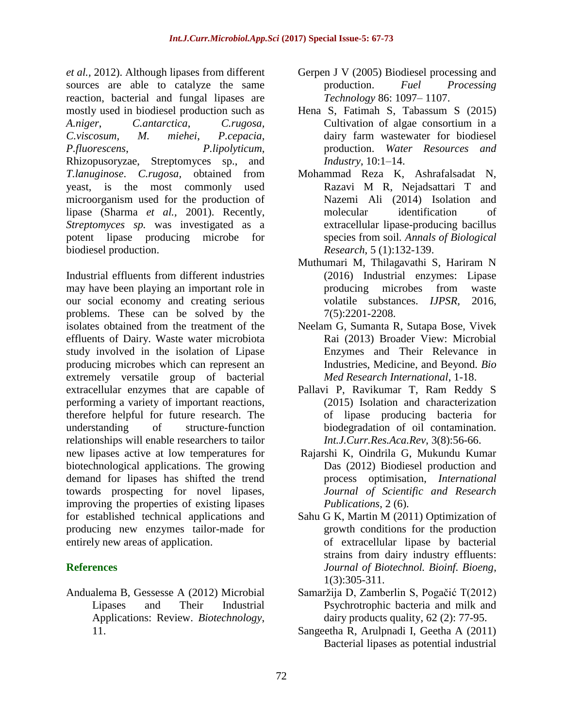*et al.,* 2012). Although lipases from different sources are able to catalyze the same reaction, bacterial and fungal lipases are mostly used in biodiesel production such as *A.niger*, *C.antarctica*, *C.rugosa, C.viscosum, M. miehei*, *P.cepacia*, *P.fluorescens*, *P.lipolyticum*, Rhizopusoryzae, Streptomyces sp., and *T.lanuginose*. *C.rugosa,* obtained from yeast, is the most commonly used microorganism used for the production of lipase (Sharma *et al.,* 2001). Recently, *Streptomyces sp.* was investigated as a potent lipase producing microbe for biodiesel production.

Industrial effluents from different industries may have been playing an important role in our social economy and creating serious problems. These can be solved by the isolates obtained from the treatment of the effluents of Dairy. Waste water microbiota study involved in the isolation of Lipase producing microbes which can represent an extremely versatile group of bacterial extracellular enzymes that are capable of performing a variety of important reactions, therefore helpful for future research. The understanding of structure-function relationships will enable researchers to tailor new lipases active at low temperatures for biotechnological applications. The growing demand for lipases has shifted the trend towards prospecting for novel lipases, improving the properties of existing lipases for established technical applications and producing new enzymes tailor-made for entirely new areas of application.

### **References**

Andualema B, Gessesse A (2012) Microbial Lipases and Their Industrial Applications: Review. *Biotechnology*, 11.

- Gerpen J V (2005) Biodiesel processing and production. *Fuel Processing Technology* 86: 1097– 1107.
- Hena S, Fatimah S, Tabassum S (2015) Cultivation of algae consortium in a dairy farm wastewater for biodiesel production. *Water Resources and Industry*, 10:1–14.
- Mohammad Reza K, Ashrafalsadat N, Razavi M R, Nejadsattari T and Nazemi Ali (2014) Isolation and molecular identification of extracellular lipase-producing bacillus species from soil*. Annals of Biological Research*, 5 (1):132-139.
- Muthumari M, Thilagavathi S, Hariram N (2016) Industrial enzymes: Lipase producing microbes from waste volatile substances. *IJPSR,* 2016, 7(5):2201-2208.
- Neelam G, Sumanta R, Sutapa Bose, Vivek Rai (2013) Broader View: Microbial Enzymes and Their Relevance in Industries, Medicine, and Beyond. *Bio Med Research International*, 1-18.
- Pallavi P, Ravikumar T, Ram Reddy S (2015) Isolation and characterization of lipase producing bacteria for biodegradation of oil contamination. *Int.J.Curr.Res.Aca.Rev*, 3(8):56-66.
- Rajarshi K, Oindrila G, Mukundu Kumar Das (2012) Biodiesel production and process optimisation, *International Journal of Scientific and Research Publications*, 2 (6).
- Sahu G K, Martin M (2011) Optimization of growth conditions for the production of extracellular lipase by bacterial strains from dairy industry effluents: *Journal of Biotechnol. Bioinf. Bioeng*, 1(3):305-311.
- Samaržija D, Zamberlin S, Pogačić T(2012) Psychrotrophic bacteria and milk and dairy products quality, 62 (2): 77-95.
- Sangeetha R, Arulpnadi I, Geetha A (2011) Bacterial lipases as potential industrial